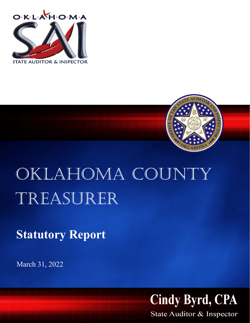



# Oklahoma county Treasurer

**Statutory Report**

March 31, 2022



State Auditor & Inspector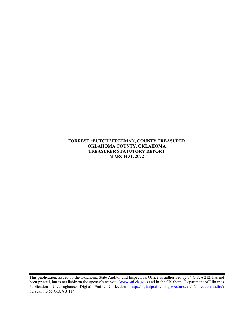### **FORREST "BUTCH" FREEMAN, COUNTY TREASURER OKLAHOMA COUNTY, OKLAHOMA TREASURER STATUTORY REPORT MARCH 31, 2022**

This publication, issued by the Oklahoma State Auditor and Inspector's Office as authorized by 74 O.S. § 212, has not been printed, but is available on the agency's website [\(www.sai.ok.gov\)](http://www.sai.ok.gov/) and in the Oklahoma Department of Libraries Publications Clearinghouse Digital Prairie Collection [\(http://digitalprairie.ok.gov/cdm/search/collection/audits/\)](http://digitalprairie.ok.gov/cdm/search/collection/audits/) pursuant to 65 O.S. § 3-114.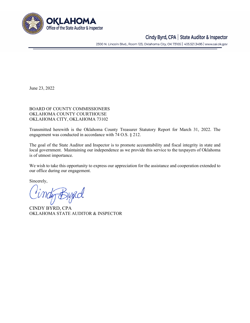

## Cindy Byrd, CPA | State Auditor & Inspector

2300 N. Lincoln Blvd., Room 123, Oklahoma City, OK 73105 | 405.521.3495 | www.sai.ok.gov

June 23, 2022

#### BOARD OF COUNTY COMMISSIONERS OKLAHOMA COUNTY COURTHOUSE OKLAHOMA CITY, OKLAHOMA 73102

Transmitted herewith is the Oklahoma County Treasurer Statutory Report for March 31, 2022. The engagement was conducted in accordance with 74 O.S. § 212.

The goal of the State Auditor and Inspector is to promote accountability and fiscal integrity in state and local government. Maintaining our independence as we provide this service to the taxpayers of Oklahoma is of utmost importance.

We wish to take this opportunity to express our appreciation for the assistance and cooperation extended to our office during our engagement.

Sincerely,

tig Bypcol

CINDY BYRD, CPA OKLAHOMA STATE AUDITOR & INSPECTOR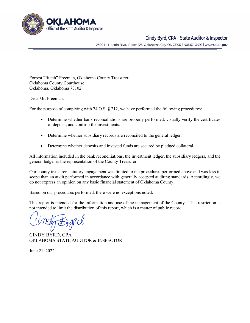

## Cindy Byrd, CPA | State Auditor & Inspector

2300 N. Lincoln Blvd., Room 123, Oklahoma City, OK 73105 | 405.521.3495 | www.sai.ok.gov

Forrest "Butch" Freeman, Oklahoma County Treasurer Oklahoma County Courthouse Oklahoma, Oklahoma 73102

Dear Mr. Freeman:

For the purpose of complying with 74 O.S. § 212, we have performed the following procedures:

- Determine whether bank reconciliations are properly performed, visually verify the certificates of deposit, and confirm the investments.
- Determine whether subsidiary records are reconciled to the general ledger.
- Determine whether deposits and invested funds are secured by pledged collateral.

All information included in the bank reconciliations, the investment ledger, the subsidiary ledgers, and the general ledger is the representation of the County Treasurer.

Our county treasurer statutory engagement was limited to the procedures performed above and was less in scope than an audit performed in accordance with generally accepted auditing standards. Accordingly, we do not express an opinion on any basic financial statement of Oklahoma County.

Based on our procedures performed, there were no exceptions noted.

This report is intended for the information and use of the management of the County. This restriction is not intended to limit the distribution of this report, which is a matter of public record.

CINDY BYRD, CPA OKLAHOMA STATE AUDITOR & INSPECTOR

June 21, 2022